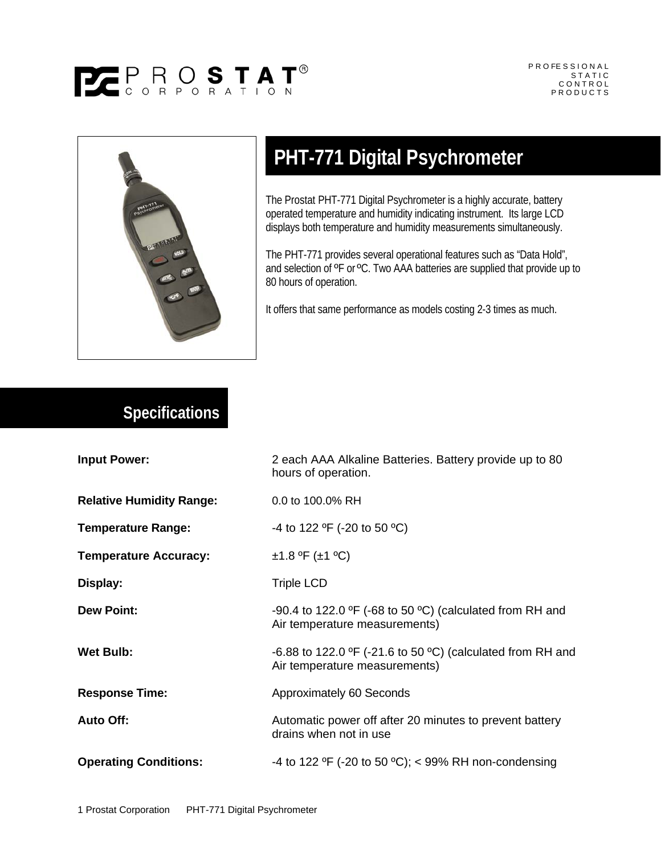



## **PHT-771 Digital Psychrometer**

The Prostat PHT-771 Digital Psychrometer is a highly accurate, battery operated temperature and humidity indicating instrument. Its large LCD displays both temperature and humidity measurements simultaneously.

The PHT-771 provides several operational features such as "Data Hold", and selection of <sup>o</sup>F or <sup>o</sup>C. Two AAA batteries are supplied that provide up to 80 hours of operation.

It offers that same performance as models costing 2-3 times as much.

## **Specifications**

|                                 | 2 each AAA Alkaline Batteries. Battery provide up to 80<br>hours of operation.                                        |
|---------------------------------|-----------------------------------------------------------------------------------------------------------------------|
| <b>Relative Humidity Range:</b> | 0.0 to 100.0% RH                                                                                                      |
| <b>Temperature Range:</b>       | -4 to 122 °F (-20 to 50 °C)                                                                                           |
| <b>Temperature Accuracy:</b>    | ±1.8 °F (±1 °C)                                                                                                       |
|                                 | <b>Triple LCD</b>                                                                                                     |
|                                 | -90.4 to 122.0 $\textdegree$ F (-68 to 50 $\textdegree$ C) (calculated from RH and<br>Air temperature measurements)   |
|                                 | -6.88 to 122.0 $\textdegree$ F (-21.6 to 50 $\textdegree$ C) (calculated from RH and<br>Air temperature measurements) |
| <b>Response Time:</b>           | Approximately 60 Seconds                                                                                              |
|                                 | Automatic power off after 20 minutes to prevent battery<br>drains when not in use                                     |
| <b>Operating Conditions:</b>    | -4 to 122 °F (-20 to 50 °C); < 99% RH non-condensing                                                                  |
|                                 |                                                                                                                       |